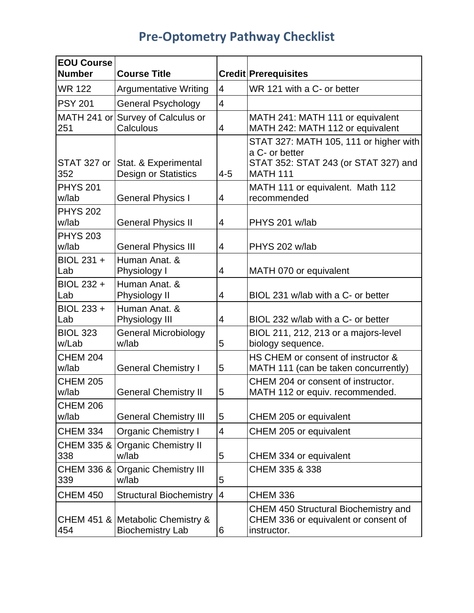| <b>Pre-Optometry Pathway Checklist</b> |  |  |
|----------------------------------------|--|--|
|----------------------------------------|--|--|

| <b>EOU Course</b><br><b>Number</b> | <b>Course Title</b>                                         |                          | <b>Credit Prerequisites</b>                                                                                         |
|------------------------------------|-------------------------------------------------------------|--------------------------|---------------------------------------------------------------------------------------------------------------------|
| <b>WR 122</b>                      | <b>Argumentative Writing</b>                                | $\overline{4}$           | WR 121 with a C- or better                                                                                          |
| <b>PSY 201</b>                     | <b>General Psychology</b>                                   | $\overline{4}$           |                                                                                                                     |
| 251                                | MATH 241 or Survey of Calculus or<br>Calculous              | $\overline{4}$           | MATH 241: MATH 111 or equivalent<br>MATH 242: MATH 112 or equivalent                                                |
| STAT 327 or<br>352                 | Stat. & Experimental<br>Design or Statistics                | $4 - 5$                  | STAT 327: MATH 105, 111 or higher with<br>a C- or better<br>STAT 352: STAT 243 (or STAT 327) and<br><b>MATH 111</b> |
| <b>PHYS 201</b><br>w/lab           | <b>General Physics I</b>                                    | 4                        | MATH 111 or equivalent. Math 112<br>recommended                                                                     |
| <b>PHYS 202</b><br>w/lab           | <b>General Physics II</b>                                   | 4                        | PHYS 201 w/lab                                                                                                      |
| <b>PHYS 203</b><br>w/lab           | <b>General Physics III</b>                                  | 4                        | PHYS 202 w/lab                                                                                                      |
| BIOL 231 +<br>Lab                  | Human Anat. &<br>Physiology I                               | 4                        | MATH 070 or equivalent                                                                                              |
| BIOL 232 +<br>Lab                  | Human Anat. &<br>Physiology II                              | $\overline{4}$           | BIOL 231 w/lab with a C- or better                                                                                  |
| BIOL 233 +<br>Lab                  | Human Anat. &<br>Physiology III                             | $\overline{4}$           | BIOL 232 w/lab with a C- or better                                                                                  |
| <b>BIOL 323</b><br>w/Lab           | <b>General Microbiology</b><br>w/lab                        | 5                        | BIOL 211, 212, 213 or a majors-level<br>biology sequence.                                                           |
| <b>CHEM 204</b><br>w/lab           | <b>General Chemistry I</b>                                  | 5                        | HS CHEM or consent of instructor &<br>MATH 111 (can be taken concurrently)                                          |
| <b>CHEM 205</b><br>w/lab           | <b>General Chemistry II</b>                                 | 5                        | CHEM 204 or consent of instructor.<br>MATH 112 or equiv. recommended.                                               |
| <b>CHEM 206</b><br>w/lab           | <b>General Chemistry III</b>                                | 5                        | CHEM 205 or equivalent                                                                                              |
| <b>CHEM 334</b>                    | <b>Organic Chemistry I</b>                                  | $\overline{\mathcal{A}}$ | CHEM 205 or equivalent                                                                                              |
| <b>CHEM 335 &amp;</b><br>338       | <b>Organic Chemistry II</b><br>w/lab                        | 5                        | CHEM 334 or equivalent                                                                                              |
| <b>CHEM 336 &amp;</b><br>339       | <b>Organic Chemistry III</b><br>w/lab                       | 5                        | CHEM 335 & 338                                                                                                      |
| <b>CHEM 450</b>                    | <b>Structural Biochemistry</b>                              | $\overline{4}$           | <b>CHEM 336</b>                                                                                                     |
| 454                                | CHEM 451 & Metabolic Chemistry &<br><b>Biochemistry Lab</b> | 6                        | <b>CHEM 450 Structural Biochemistry and</b><br>CHEM 336 or equivalent or consent of<br>instructor.                  |